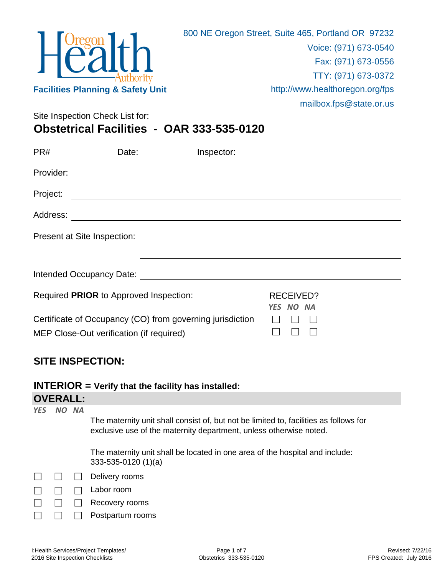

Site Inspection Check List for:

**Obstetrical Facilities - OAR 333-535-0120**

| PR#                         | Date: $\qquad \qquad \qquad$                                                                          | Inspector: |                        |  |  |
|-----------------------------|-------------------------------------------------------------------------------------------------------|------------|------------------------|--|--|
| Provider:                   |                                                                                                       |            |                        |  |  |
| Project:                    | <u> 1989 - Johann Barn, amerikansk politiker (d. 1989)</u>                                            |            |                        |  |  |
|                             |                                                                                                       |            |                        |  |  |
| Present at Site Inspection: |                                                                                                       |            |                        |  |  |
|                             |                                                                                                       |            |                        |  |  |
|                             |                                                                                                       |            |                        |  |  |
|                             | Required PRIOR to Approved Inspection:                                                                |            | RECEIVED?<br>YES NO NA |  |  |
|                             | Certificate of Occupancy (CO) from governing jurisdiction<br>MEP Close-Out verification (if required) |            |                        |  |  |

## **SITE INSPECTION:**

**INTERIOR = Verify that the facility has installed:**

## **OVERALL:**

*YES NO NA*

The maternity unit shall consist of, but not be limited to, facilities as follows for exclusive use of the maternity department, unless otherwise noted.

The maternity unit shall be located in one area of the hospital and include: 333-535-0120 (1)(a)

|  | $\Box$ Delivery rooms |
|--|-----------------------|
|--|-----------------------|

- Labor room  $\Box$  $\Box$  $\Box$
- $\Box$  $\Box$ Recovery rooms
- $\Box$  $\Box$ Postpartum rooms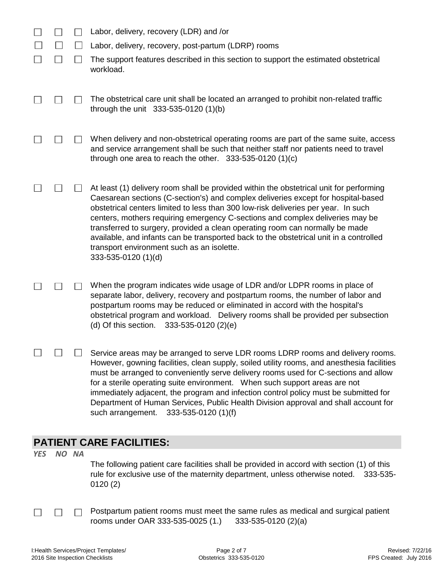|  | Labor, delivery, recovery (LDR) and /or                                                                                                                                                                                                                                                                                                                                                                                                                                                                                                                                                            |
|--|----------------------------------------------------------------------------------------------------------------------------------------------------------------------------------------------------------------------------------------------------------------------------------------------------------------------------------------------------------------------------------------------------------------------------------------------------------------------------------------------------------------------------------------------------------------------------------------------------|
|  | Labor, delivery, recovery, post-partum (LDRP) rooms                                                                                                                                                                                                                                                                                                                                                                                                                                                                                                                                                |
|  | The support features described in this section to support the estimated obstetrical<br>workload.                                                                                                                                                                                                                                                                                                                                                                                                                                                                                                   |
|  | The obstetrical care unit shall be located an arranged to prohibit non-related traffic<br>through the unit 333-535-0120 (1)(b)                                                                                                                                                                                                                                                                                                                                                                                                                                                                     |
|  | When delivery and non-obstetrical operating rooms are part of the same suite, access<br>and service arrangement shall be such that neither staff nor patients need to travel<br>through one area to reach the other. $333-535-0120(1)(c)$                                                                                                                                                                                                                                                                                                                                                          |
|  | At least (1) delivery room shall be provided within the obstetrical unit for performing<br>Caesarean sections (C-section's) and complex deliveries except for hospital-based<br>obstetrical centers limited to less than 300 low-risk deliveries per year. In such<br>centers, mothers requiring emergency C-sections and complex deliveries may be<br>transferred to surgery, provided a clean operating room can normally be made<br>available, and infants can be transported back to the obstetrical unit in a controlled<br>transport environment such as an isolette.<br>333-535-0120 (1)(d) |
|  | When the program indicates wide usage of LDR and/or LDPR rooms in place of<br>separate labor, delivery, recovery and postpartum rooms, the number of labor and<br>postpartum rooms may be reduced or eliminated in accord with the hospital's<br>obstetrical program and workload. Delivery rooms shall be provided per subsection<br>(d) Of this section. $333-535-0120$ (2)(e)                                                                                                                                                                                                                   |
|  | Service areas may be arranged to serve LDR rooms LDRP rooms and delivery rooms.<br>However, gowning facilities, clean supply, soiled utility rooms, and anesthesia facilities<br>must be arranged to conveniently serve delivery rooms used for C-sections and allow<br>for a sterile operating suite environment. When such support areas are not<br>immediately adjacent, the program and infection control policy must be submitted for<br>Department of Human Services, Public Health Division approval and shall account for<br>such arrangement.<br>333-535-0120 (1)(f)                      |

## **PATIENT CARE FACILITIES:**

*YES NO NA*

The following patient care facilities shall be provided in accord with section (1) of this rule for exclusive use of the maternity department, unless otherwise noted. 333-535- 0120 (2)

 $\Box$  $\Box$  Postpartum patient rooms must meet the same rules as medical and surgical patient rooms under OAR 333-535-0025 (1.) 333-535-0120 (2)(a)

 $\Box$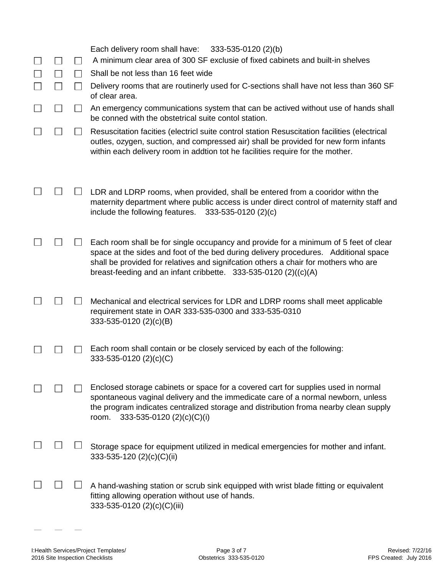|  |                | Each delivery room shall have:<br>333-535-0120 (2)(b)<br>A minimum clear area of 300 SF exclusie of fixed cabinets and built-in shelves                                                                                                                                                                                                 |
|--|----------------|-----------------------------------------------------------------------------------------------------------------------------------------------------------------------------------------------------------------------------------------------------------------------------------------------------------------------------------------|
|  |                | Shall be not less than 16 feet wide                                                                                                                                                                                                                                                                                                     |
|  |                | Delivery rooms that are routinerly used for C-sections shall have not less than 360 SF<br>of clear area.                                                                                                                                                                                                                                |
|  | $\blacksquare$ | An emergency communications system that can be actived without use of hands shall<br>be conned with the obstetrical suite contol station.                                                                                                                                                                                               |
|  |                | Resuscitation facities (electricl suite control station Resuscitation facilities (electrical<br>outles, ozygen, suction, and compressed air) shall be provided for new form infants<br>within each delivery room in addtion tot he facilities require for the mother.                                                                   |
|  |                | LDR and LDRP rooms, when provided, shall be entered from a cooridor withn the<br>maternity department where public access is under direct control of maternity staff and<br>include the following features.<br>$333 - 535 - 0120$ (2)(c)                                                                                                |
|  |                | Each room shall be for single occupancy and provide for a minimum of 5 feet of clear<br>space at the sides and foot of the bed during delivery procedures. Additional space<br>shall be provided for relatives and signifcation others a chair for mothers who are<br>breast-feeding and an infant cribbette. $333-535-0120$ (2)((c)(A) |
|  |                | Mechanical and electrical services for LDR and LDRP rooms shall meet applicable<br>requirement state in OAR 333-535-0300 and 333-535-0310<br>333-535-0120 (2)(c)(B)                                                                                                                                                                     |
|  |                | Each room shall contain or be closely serviced by each of the following:<br>333-535-0120 (2)(c)(C)                                                                                                                                                                                                                                      |
|  |                | Enclosed storage cabinets or space for a covered cart for supplies used in normal<br>spontaneous vaginal delivery and the immedicate care of a normal newborn, unless<br>the program indicates centralized storage and distribution froma nearby clean supply<br>333-535-0120 (2)(c)(C)(i)<br>room.                                     |
|  |                | Storage space for equipment utilized in medical emergencies for mother and infant.<br>333-535-120 (2)(c)(C)(ii)                                                                                                                                                                                                                         |
|  |                | A hand-washing station or scrub sink equipped with wrist blade fitting or equivalent<br>fitting allowing operation without use of hands.<br>333-535-0120 (2)(c)(C)(iii)                                                                                                                                                                 |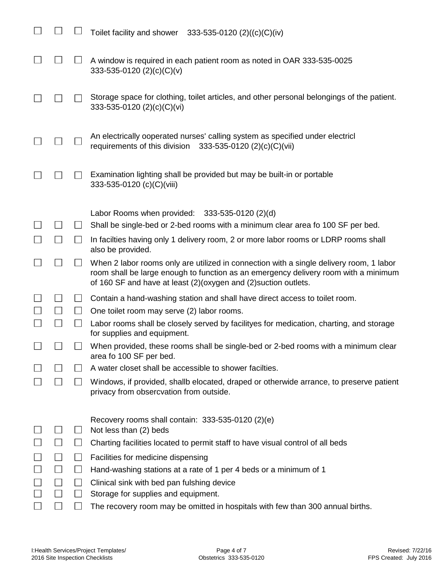|              |              | Toilet facility and shower $333-535-0120$ (2)((c)(C)(iv)                                                                                                                                                                                          |
|--------------|--------------|---------------------------------------------------------------------------------------------------------------------------------------------------------------------------------------------------------------------------------------------------|
|              |              | A window is required in each patient room as noted in OAR 333-535-0025<br>333-535-0120 (2)(c)(C)(v)                                                                                                                                               |
|              |              | Storage space for clothing, toilet articles, and other personal belongings of the patient.<br>333-535-0120 $(2)(c)(C)(vi)$                                                                                                                        |
|              |              | An electrically ooperated nurses' calling system as specified under electricl<br>333-535-0120 (2)(c)(C)(vii)<br>requirements of this division                                                                                                     |
|              |              | Examination lighting shall be provided but may be built-in or portable<br>333-535-0120 (c)(C)(viii)                                                                                                                                               |
|              |              | Labor Rooms when provided: $333-535-0120$ (2)(d)                                                                                                                                                                                                  |
|              |              | Shall be single-bed or 2-bed rooms with a minimum clear area fo 100 SF per bed.                                                                                                                                                                   |
|              |              | In facilties having only 1 delivery room, 2 or more labor rooms or LDRP rooms shall<br>also be provided.                                                                                                                                          |
| $\mathbf{I}$ | $\mathbf{I}$ | When 2 labor rooms only are utilized in connection with a single delivery room, 1 labor<br>room shall be large enough to function as an emergency delivery room with a minimum<br>of 160 SF and have at least (2)(oxygen and (2) suction outlets. |
|              | $\mathsf{L}$ | Contain a hand-washing station and shall have direct access to toilet room.                                                                                                                                                                       |
| $\perp$      | $\perp$      | One toilet room may serve (2) labor rooms.                                                                                                                                                                                                        |
|              |              | Labor rooms shall be closely served by facilityes for medication, charting, and storage<br>for supplies and equipment.                                                                                                                            |
|              |              | When provided, these rooms shall be single-bed or 2-bed rooms with a minimum clear<br>area fo 100 SF per bed.                                                                                                                                     |
|              |              | A water closet shall be accessible to shower facilties.                                                                                                                                                                                           |
|              | $\mathbf{I}$ | Windows, if provided, shallb elocated, draped or otherwide arrance, to preserve patient<br>privacy from obsercvation from outside.                                                                                                                |
|              |              | Recovery rooms shall contain: 333-535-0120 (2)(e)                                                                                                                                                                                                 |
|              | ⊔            | Not less than (2) beds                                                                                                                                                                                                                            |
|              | $\perp$      | Charting facilities located to permit staff to have visual control of all beds                                                                                                                                                                    |
|              | $\Box$       | Facilities for medicine dispensing                                                                                                                                                                                                                |
|              | $\Box$       | Hand-washing stations at a rate of 1 per 4 beds or a minimum of 1                                                                                                                                                                                 |
|              | $\Box$       | Clinical sink with bed pan fulshing device                                                                                                                                                                                                        |
|              | $\perp$      | Storage for supplies and equipment.                                                                                                                                                                                                               |
|              |              | The recovery room may be omitted in hospitals with few than 300 annual births.                                                                                                                                                                    |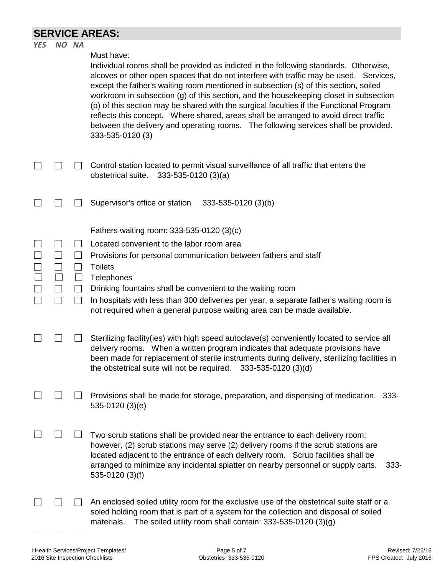## **SERVICE AREAS:**

| Must have:<br>Individual rooms shall be provided as indicted in the following standards. Otherwise,<br>alcoves or other open spaces that do not interfere with traffic may be used. Services,                                                                                                                                                                                                                                                                                                              |         |
|------------------------------------------------------------------------------------------------------------------------------------------------------------------------------------------------------------------------------------------------------------------------------------------------------------------------------------------------------------------------------------------------------------------------------------------------------------------------------------------------------------|---------|
| except the father's waiting room mentioned in subsection (s) of this section, soiled<br>workroom in subsection (g) of this section, and the housekeeping closet in subsection<br>(p) of this section may be shared with the surgical faculties if the Functional Program<br>reflects this concept. Where shared, areas shall be arranged to avoid direct traffic<br>between the delivery and operating rooms. The following services shall be provided.<br>333-535-0120 (3)                                |         |
| Control station located to permit visual surveillance of all traffic that enters the<br>$\lfloor$ $\rfloor$<br>obstetrical suite.<br>$333-535-0120(3)(a)$                                                                                                                                                                                                                                                                                                                                                  |         |
| Supervisor's office or station<br>333-535-0120 (3)(b)                                                                                                                                                                                                                                                                                                                                                                                                                                                      |         |
| Fathers waiting room: 333-535-0120 (3)(c)<br>Located convenient to the labor room area<br>$\Box$<br>Provisions for personal communication between fathers and staff<br>$\mathbf{L}$<br><b>Toilets</b><br>$\mathbf{L}$<br>Telephones<br>$\mathbb{R}^n$<br>Drinking fountains shall be convenient to the waiting room<br>In hospitals with less than 300 deliveries per year, a separate father's waiting room is<br>$\mathsf{L}$<br>not required when a general purpose waiting area can be made available. |         |
| Sterilizing facility (ies) with high speed autoclave (s) conveniently located to service all<br>delivery rooms. When a written program indicates that adequate provisions have<br>been made for replacement of sterile instruments during delivery, sterilizing facilities in<br>333-535-0120 (3)(d)<br>the obstetrical suite will not be required.                                                                                                                                                        |         |
| Provisions shall be made for storage, preparation, and dispensing of medication.<br>535-0120 (3)(e)                                                                                                                                                                                                                                                                                                                                                                                                        | -333-   |
| Two scrub stations shall be provided near the entrance to each delivery room;<br>however, (2) scrub stations may serve (2) delivery rooms if the scrub stations are<br>located adjacent to the entrance of each delivery room. Scrub facilities shall be<br>arranged to minimize any incidental splatter on nearby personnel or supply carts.<br>535-0120 (3)(f)                                                                                                                                           | $333 -$ |
| An enclosed soiled utility room for the exclusive use of the obstetrical suite staff or a<br>soled holding room that is part of a system for the collection and disposal of soiled<br>The soiled utility room shall contain: $333-535-0120(3)(g)$<br>materials.                                                                                                                                                                                                                                            |         |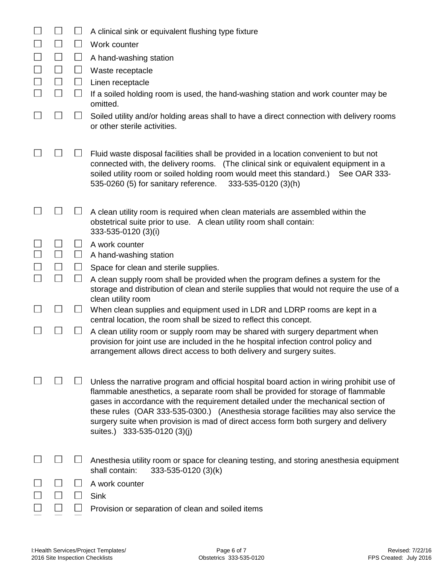|        |                |                          | A clinical sink or equivalent flushing type fixture                                                                                                                                                                                                                                                                                                                                                                                                                               |
|--------|----------------|--------------------------|-----------------------------------------------------------------------------------------------------------------------------------------------------------------------------------------------------------------------------------------------------------------------------------------------------------------------------------------------------------------------------------------------------------------------------------------------------------------------------------|
|        | $\sim$         | $\Box$                   | Work counter                                                                                                                                                                                                                                                                                                                                                                                                                                                                      |
|        | $\Box$         | $\Box$                   | A hand-washing station                                                                                                                                                                                                                                                                                                                                                                                                                                                            |
| $\sim$ | $\Box$         | $\Box$                   | Waste receptacle                                                                                                                                                                                                                                                                                                                                                                                                                                                                  |
|        | $\Box$         | $\Box$                   | Linen receptacle                                                                                                                                                                                                                                                                                                                                                                                                                                                                  |
|        | $\blacksquare$ | $\Box$                   | If a soiled holding room is used, the hand-washing station and work counter may be<br>omitted.                                                                                                                                                                                                                                                                                                                                                                                    |
|        |                | $\overline{\phantom{a}}$ | Soiled utility and/or holding areas shall to have a direct connection with delivery rooms<br>or other sterile activities.                                                                                                                                                                                                                                                                                                                                                         |
|        |                |                          | Fluid waste disposal facilities shall be provided in a location convenient to but not<br>connected with, the delivery rooms. (The clinical sink or equivalent equipment in a<br>soiled utility room or soiled holding room would meet this standard.)<br>See OAR 333-<br>535-0260 (5) for sanitary reference.<br>333-535-0120 (3)(h)                                                                                                                                              |
|        |                |                          | A clean utility room is required when clean materials are assembled within the<br>obstetrical suite prior to use. A clean utility room shall contain:<br>333-535-0120 (3)(i)                                                                                                                                                                                                                                                                                                      |
|        | $\blacksquare$ | ⊔                        | A work counter                                                                                                                                                                                                                                                                                                                                                                                                                                                                    |
|        |                | $\Box$                   | A hand-washing station                                                                                                                                                                                                                                                                                                                                                                                                                                                            |
| $\sim$ | $\blacksquare$ | $\Box$                   | Space for clean and sterile supplies.                                                                                                                                                                                                                                                                                                                                                                                                                                             |
|        |                |                          | A clean supply room shall be provided when the program defines a system for the<br>storage and distribution of clean and sterile supplies that would not require the use of a<br>clean utility room                                                                                                                                                                                                                                                                               |
|        |                | $\Box$                   | When clean supplies and equipment used in LDR and LDRP rooms are kept in a<br>central location, the room shall be sized to reflect this concept.                                                                                                                                                                                                                                                                                                                                  |
|        |                |                          | A clean utility room or supply room may be shared with surgery department when<br>provision for joint use are included in the he hospital infection control policy and<br>arrangement allows direct access to both delivery and surgery suites.                                                                                                                                                                                                                                   |
|        |                |                          | Unless the narrative program and official hospital board action in wiring prohibit use of<br>flammable anesthetics, a separate room shall be provided for storage of flammable<br>gases in accordance with the requirement detailed under the mechanical section of<br>these rules (OAR 333-535-0300.) (Anesthesia storage facilities may also service the<br>surgery suite when provision is mad of direct access form both surgery and delivery<br>suites.) 333-535-0120 (3)(j) |
|        |                |                          | Anesthesia utility room or space for cleaning testing, and storing anesthesia equipment<br>shall contain:<br>333-535-0120 (3)(k)                                                                                                                                                                                                                                                                                                                                                  |
|        |                |                          | A work counter                                                                                                                                                                                                                                                                                                                                                                                                                                                                    |
|        |                |                          | <b>Sink</b>                                                                                                                                                                                                                                                                                                                                                                                                                                                                       |
|        |                |                          | Provision or separation of clean and soiled items                                                                                                                                                                                                                                                                                                                                                                                                                                 |
|        |                |                          |                                                                                                                                                                                                                                                                                                                                                                                                                                                                                   |